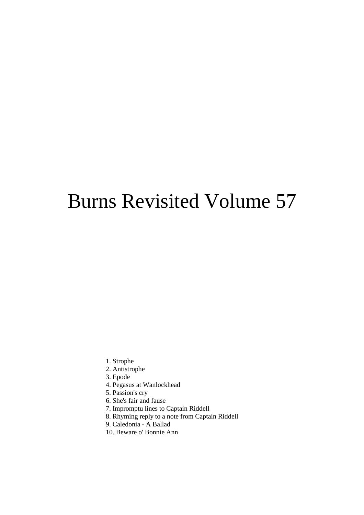# Burns Revisited Volume 57

- 1. Strophe
- 2. Antistrophe
- 3. Epode
- 4. Pegasus at Wanlockhead
- 5. Passion's cry
- 6. She's fair and fause
- 7. Impromptu lines to Captain Riddell
- 8. Rhyming reply to a note from Captain Riddell
- 9. Caledonia A Ballad
- 10. Beware o' Bonnie Ann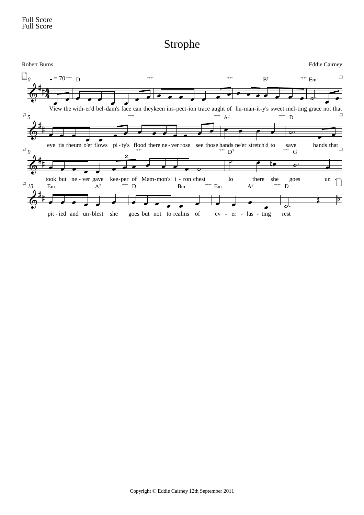Strophe

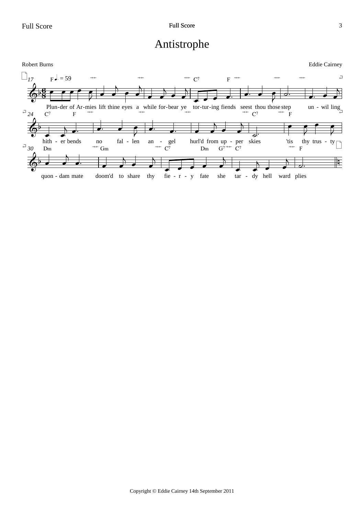## Antistrophe

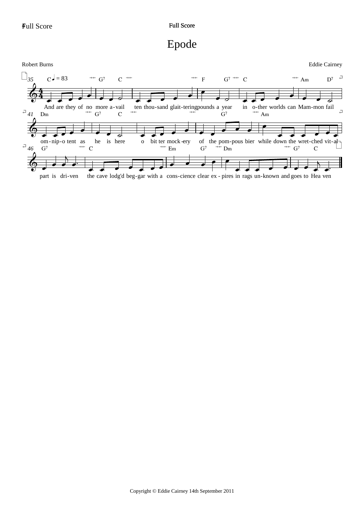# Epode

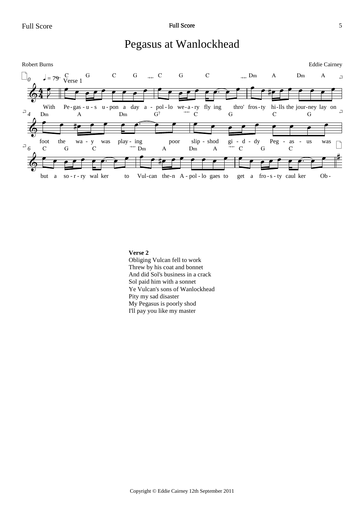### Pegasus at Wanlockhead



### **Verse 2**

Obliging Vulcan fell to work Threw by his coat and bonnet And did Sol's business in a crack Sol paid him with a sonnet Ye Vulcan's sons of Wanlockhead Pity my sad disaster My Pegasus is poorly shod I'll pay you like my master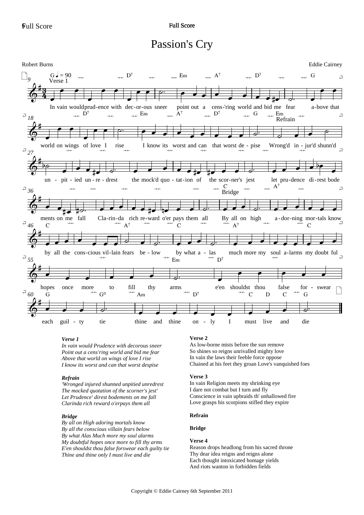### Passion's Cry



### Verse 1

In vain would Prudence with decorous sneer Point out a cens'ring world and bid me fear Above that world on wings of love I rise I know its worst and can that worst despise

### Refrain

'Wronged injured shunned unpitied unredrest The mocked quotation of the scorner's jest' Let Prudence' direst bodements on me fall Clarinda rich reward o'erpays them all

#### **Bridge**

By all on High adoring mortals know By all the conscious villain fears below By what Alas Much more my soul alarms My doubtful hopes once more to fill thy arms E'en shouldst thou false forswear each guilty tie Thine and thine only I must live and die

### Verse 2

As low-borne mists before the sun remove So shines so reigns unrivalled mighty love In vain the laws their feeble force oppose Chained at his feet they groan Love's vanquished foes

#### Verse 3

In vain Religion meets my shrinking eye I dare not combat but I turn and fly Conscience in vain upbraids th' unhallowed fire Love grasps his scorpions stifled they expire

#### Refrain

**Bridge** 

#### Verse 4

Reason drops headlong from his sacred throne Thy dear idea reigns and reigns alone Each thought intoxicated homage yields And riots wanton in forbidden fields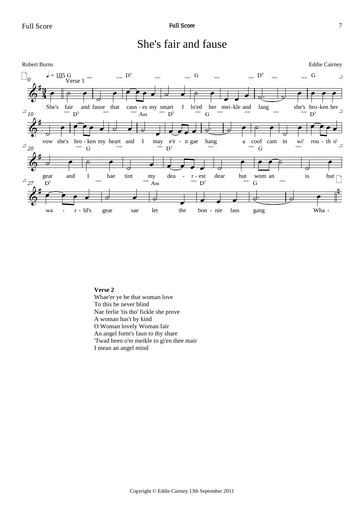



### **Verse 2**

Whae'er ye be that woman love To this be never blind Nae ferlie 'tis tho' fickle she prove A woman has't by kind O Woman lovely Woman fair An angel form's faun to thy share 'Twad been o'er meikle to gi'en thee mair I mean an angel mind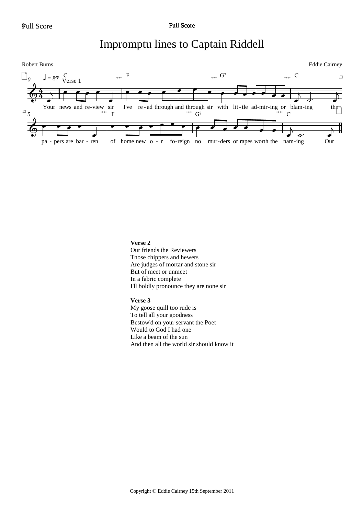## Impromptu lines to Captain Riddell



### **Verse 2**

Our friends the Reviewers Those chippers and hewers Are judges of mortar and stone sir But of meet or unmeet In a fabric complete I'll boldly pronounce they are none sir

### **Verse 3**

My goose quill too rude is To tell all your goodness Bestow'd on your servant the Poet Would to God I had one Like a beam of the sun And then all the world sir should know it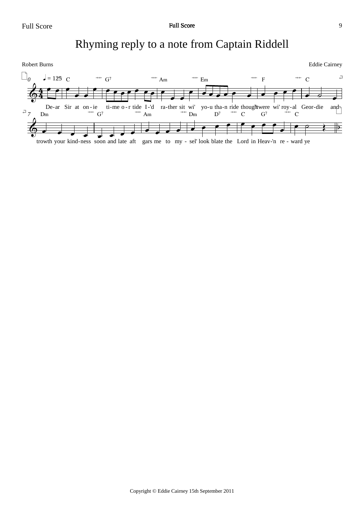# Rhyming reply to a note from Captain Riddell

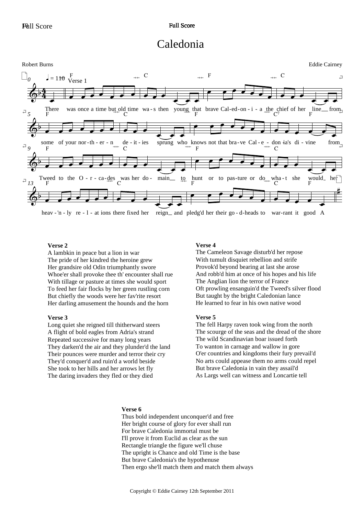### Caledonia



heav - 'n - ly re - l - at ions there fixed her reign and pledg'd her their go - d-heads to war-rant it good good A

### **Verse 2**

A lambkin in peace but a lion in war The pride of her kindred the heroine grew Her grandsire old Odin triumphantly swore Whoe'er shall provoke thee th' encounter shall rue With tillage or pasture at times she would sport To feed her fair flocks by her green rustling corn But chiefly the woods were her fav'rite resort Her darling amusement the hounds and the horn

### **Verse 3**

Long quiet she reigned till thitherward steers A flight of bold eagles from Adria's strand Repeated successive for many long years They darken'd the air and they plunder'd the land Their pounces were murder and terror their cry They'd conquer'd and ruin'd a world beside She took to her hills and her arrows let fly The daring invaders they fled or they died

### **Verse 4**

The Cameleon Savage disturb'd her repose With tumult disquiet rebellion and strife Provok'd beyond bearing at last she arose And robb'd him at once of his hopes and his life The Anglian lion the terror of France Oft prowling ensanguin'd the Tweed's silver flood But taught by the bright Caledonian lance He learned to fear in his own native wood

### **Verse 5**

The fell Harpy raven took wing from the north The scourge of the seas and the dread of the shore The wild Scandinavian boar issued forth To wanton in carnage and wallow in gore O'er countries and kingdoms their fury prevail'd No arts could appease them no arms could repel But brave Caledonia in vain they assail'd As Largs well can witness and Loncartie tell

### **Verse 6**

Thus bold independent unconquer'd and free Her bright course of glory for ever shall run For brave Caledonia immortal must be I'll prove it from Euclid as clear as the sun Rectangle triangle the figure we'll chuse The upright is Chance and old Time is the base But brave Caledonia's the hypothenuse Then ergo she'll match them and match them always